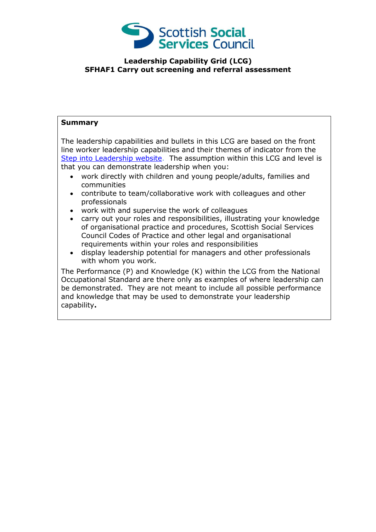

## **Leadership Capability Grid (LCG) SFHAF1 Carry out screening and referral assessment**

## **Summary**

The leadership capabilities and bullets in this LCG are based on the front line worker leadership capabilities and their themes of indicator from the [Step into Leadership website.](http://www.stepintoleadership.info/) The assumption within this LCG and level is that you can demonstrate leadership when you:

- work directly with children and young people/adults, families and communities
- contribute to team/collaborative work with colleagues and other professionals
- work with and supervise the work of colleagues
- carry out your roles and responsibilities, illustrating your knowledge of organisational practice and procedures, Scottish Social Services Council Codes of Practice and other legal and organisational requirements within your roles and responsibilities
- display leadership potential for managers and other professionals with whom you work.

The Performance (P) and Knowledge (K) within the LCG from the National Occupational Standard are there only as examples of where leadership can be demonstrated. They are not meant to include all possible performance and knowledge that may be used to demonstrate your leadership capability**.**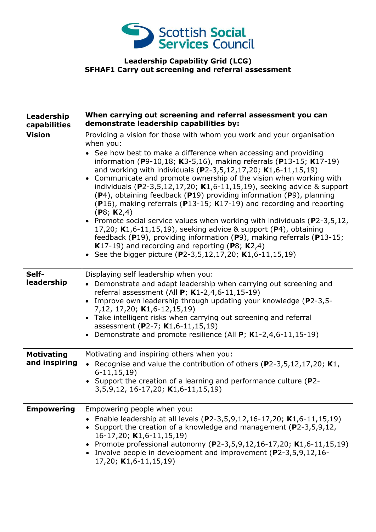

## **Leadership Capability Grid (LCG) SFHAF1 Carry out screening and referral assessment**

| Leadership<br>capabilities         | When carrying out screening and referral assessment you can<br>demonstrate leadership capabilities by:                                                                                                                                                                                                                                                                                                                                                                                                                                                                                                                                                                                                                                                                                                                                                                                                                                                            |
|------------------------------------|-------------------------------------------------------------------------------------------------------------------------------------------------------------------------------------------------------------------------------------------------------------------------------------------------------------------------------------------------------------------------------------------------------------------------------------------------------------------------------------------------------------------------------------------------------------------------------------------------------------------------------------------------------------------------------------------------------------------------------------------------------------------------------------------------------------------------------------------------------------------------------------------------------------------------------------------------------------------|
| <b>Vision</b>                      | Providing a vision for those with whom you work and your organisation<br>when you:<br>• See how best to make a difference when accessing and providing<br>information (P9-10,18; K3-5,16), making referrals (P13-15; K17-19)<br>and working with individuals (P2-3,5,12,17,20; K1,6-11,15,19)<br>Communicate and promote ownership of the vision when working with<br>$\bullet$<br>individuals (P2-3,5,12,17,20; K1,6-11,15,19), seeking advice & support<br>(P4), obtaining feedback (P19) providing information (P9), planning<br>(P16), making referrals (P13-15; K17-19) and recording and reporting<br>(P8; K2,4)<br>• Promote social service values when working with individuals (P2-3,5,12,<br>17,20; K1,6-11,15,19), seeking advice & support (P4), obtaining<br>feedback (P19), providing information (P9), making referrals (P13-15;<br>K17-19) and recording and reporting (P8; $K2,4$ )<br>• See the bigger picture (P2-3,5,12,17,20; K1,6-11,15,19) |
| Self-<br>leadership                | Displaying self leadership when you:<br>Demonstrate and adapt leadership when carrying out screening and<br>referral assessment (All $P$ ; K1-2,4,6-11,15-19)<br>Improve own leadership through updating your knowledge (P2-3,5-<br>$\bullet$<br>7,12, 17,20; K1,6-12,15,19)<br>Take intelligent risks when carrying out screening and referral<br>$\bullet$<br>assessment (P2-7; K1,6-11,15,19)<br>Demonstrate and promote resilience (All P; K1-2,4,6-11,15-19)                                                                                                                                                                                                                                                                                                                                                                                                                                                                                                 |
| <b>Motivating</b><br>and inspiring | Motivating and inspiring others when you:<br>• Recognise and value the contribution of others (P2-3,5,12,17,20; K1,<br>$6-11, 15, 19$<br>• Support the creation of a learning and performance culture (P2-<br>3,5,9,12, 16-17,20; K1,6-11,15,19)                                                                                                                                                                                                                                                                                                                                                                                                                                                                                                                                                                                                                                                                                                                  |
| <b>Empowering</b>                  | Empowering people when you:<br>Enable leadership at all levels (P2-3,5,9,12,16-17,20; K1,6-11,15,19)<br>Support the creation of a knowledge and management (P2-3,5,9,12,<br>$16-17,20$ , K1,6-11,15,19)<br>Promote professional autonomy (P2-3,5,9,12,16-17,20; K1,6-11,15,19)<br>• Involve people in development and improvement (P2-3,5,9,12,16-<br>$17,20$ ; K1,6-11,15,19)                                                                                                                                                                                                                                                                                                                                                                                                                                                                                                                                                                                    |